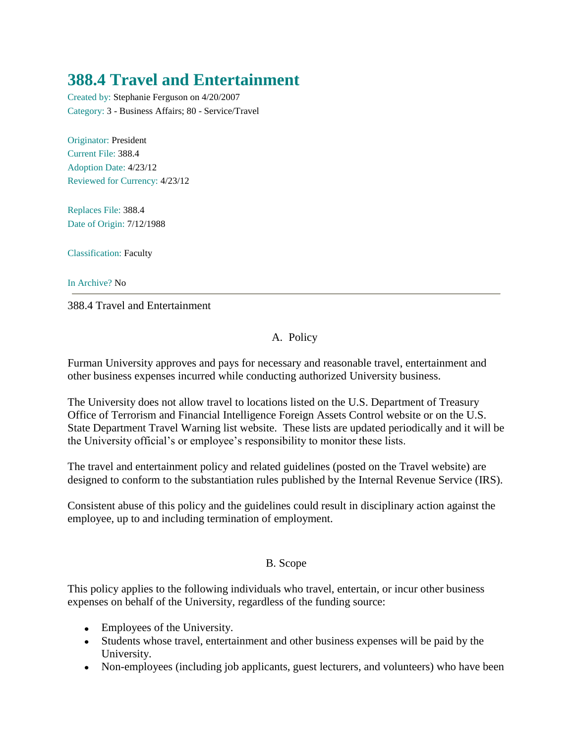# **388.4 Travel and Entertainment**

Created by: Stephanie Ferguson on 4/20/2007 Category: 3 - Business Affairs; 80 - Service/Travel

Originator: President Current File: 388.4 Adoption Date: 4/23/12 Reviewed for Currency: 4/23/12

Replaces File: 388.4 Date of Origin: 7/12/1988

Classification: Faculty

In Archive? No

388.4 Travel and Entertainment

# A. Policy

Furman University approves and pays for necessary and reasonable travel, entertainment and other business expenses incurred while conducting authorized University business.

The University does not allow travel to locations listed on the U.S. Department of Treasury Office of Terrorism and Financial Intelligence Foreign Assets Control website or on the U.S. State Department Travel Warning list website. These lists are updated periodically and it will be the University official's or employee's responsibility to monitor these lists.

The travel and entertainment policy and related guidelines (posted on the Travel website) are designed to conform to the substantiation rules published by the Internal Revenue Service (IRS).

Consistent abuse of this policy and the guidelines could result in disciplinary action against the employee, up to and including termination of employment.

## B. Scope

This policy applies to the following individuals who travel, entertain, or incur other business expenses on behalf of the University, regardless of the funding source:

- Employees of the University.
- Students whose travel, entertainment and other business expenses will be paid by the University.
- Non-employees (including job applicants, guest lecturers, and volunteers) who have been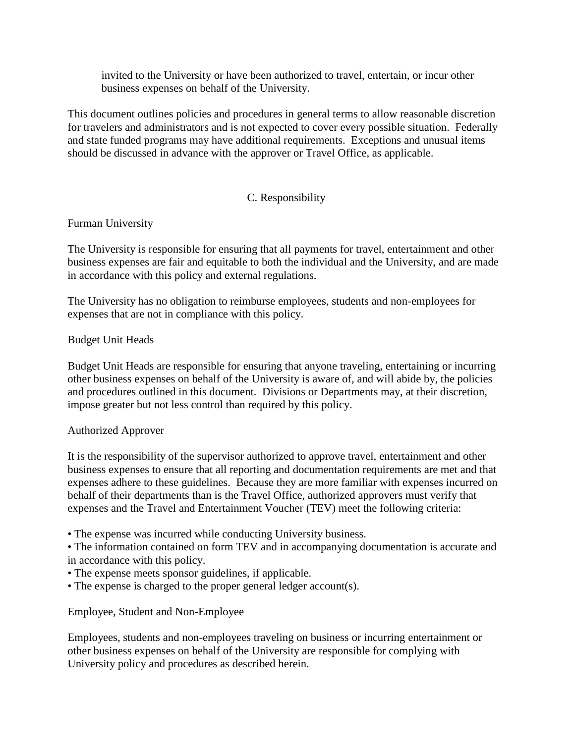invited to the University or have been authorized to travel, entertain, or incur other business expenses on behalf of the University.

This document outlines policies and procedures in general terms to allow reasonable discretion for travelers and administrators and is not expected to cover every possible situation. Federally and state funded programs may have additional requirements. Exceptions and unusual items should be discussed in advance with the approver or Travel Office, as applicable.

## C. Responsibility

Furman University

The University is responsible for ensuring that all payments for travel, entertainment and other business expenses are fair and equitable to both the individual and the University, and are made in accordance with this policy and external regulations.

The University has no obligation to reimburse employees, students and non-employees for expenses that are not in compliance with this policy.

#### Budget Unit Heads

Budget Unit Heads are responsible for ensuring that anyone traveling, entertaining or incurring other business expenses on behalf of the University is aware of, and will abide by, the policies and procedures outlined in this document. Divisions or Departments may, at their discretion, impose greater but not less control than required by this policy.

#### Authorized Approver

It is the responsibility of the supervisor authorized to approve travel, entertainment and other business expenses to ensure that all reporting and documentation requirements are met and that expenses adhere to these guidelines. Because they are more familiar with expenses incurred on behalf of their departments than is the Travel Office, authorized approvers must verify that expenses and the Travel and Entertainment Voucher (TEV) meet the following criteria:

• The expense was incurred while conducting University business.

• The information contained on form TEV and in accompanying documentation is accurate and in accordance with this policy.

- The expense meets sponsor guidelines, if applicable.
- The expense is charged to the proper general ledger account(s).

Employee, Student and Non-Employee

Employees, students and non-employees traveling on business or incurring entertainment or other business expenses on behalf of the University are responsible for complying with University policy and procedures as described herein.